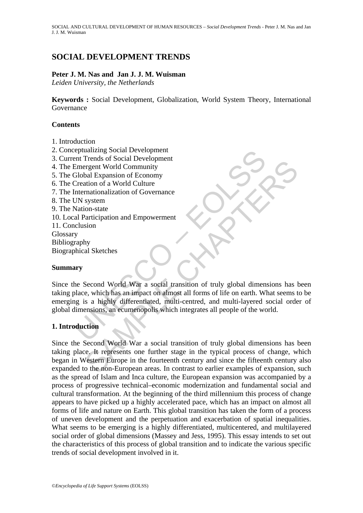# **SOCIAL DEVELOPMENT TRENDS**

## **Peter J. M. Nas and Jan J. J. M. Wuisman**

*Leiden University, the Netherlands* 

**Keywords :** Social Development, Globalization, World System Theory, International Governance

### **Contents**

- 1. Introduction
- 2. Conceptualizing Social Development
- 3. Current Trends of Social Development
- 4. The Emergent World Community
- 5. The Global Expansion of Economy
- 6. The Creation of a World Culture
- 7. The Internationalization of Governance
- 8. The UN system
- 9. The Nation-state
- 10. Local Participation and Empowerment 11. Conclusion
- 
- Glossary
- Bibliography Biographical Sketches

#### **Summary**

eptualizing Social Development<br>
Emergent World Community<br>
Emergent World Community<br>
Elobal Expansion of Economy<br>
Creation of a World Culture<br>
Internationalization of Governance<br>
IN system<br>
all Participation and Empowerment Since the Second World War a social transition of truly global dimensions has been taking place, which has an impact on almost all forms of life on earth. What seems to be emerging is a highly differentiated, multi-centred, and multi-layered social order of global dimensions, an ecumenopolis which integrates all people of the world.

# **1. Introduction**

Fractist Social Development<br>
Fractist Society<br>
Fraction of a World Culture<br>
expert World Community<br>
shal Expansion of Economy<br>
system<br>
system<br>
system<br>
significant and Empowerment<br>
system<br>
Second World War a social transiti Since the Second World War a social transition of truly global dimensions has been taking place. It represents one further stage in the typical process of change, which began in Western Europe in the fourteenth century and since the fifteenth century also expanded to the non-European areas. In contrast to earlier examples of expansion, such as the spread of Islam and Inca culture, the European expansion was accompanied by a process of progressive technical–economic modernization and fundamental social and cultural transformation. At the beginning of the third millennium this process of change appears to have picked up a highly accelerated pace, which has an impact on almost all forms of life and nature on Earth. This global transition has taken the form of a process of uneven development and the perpetuation and exacerbation of spatial inequalities. What seems to be emerging is a highly differentiated, multicentered, and multilayered social order of global dimensions (Massey and Jess, 1995). This essay intends to set out the characteristics of this process of global transition and to indicate the various specific trends of social development involved in it.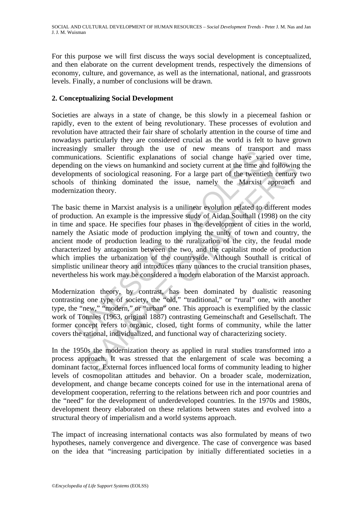For this purpose we will first discuss the ways social development is conceptualized, and then elaborate on the current development trends, respectively the dimensions of economy, culture, and governance, as well as the international, national, and grassroots levels. Finally, a number of conclusions will be drawn.

### **2. Conceptualizing Social Development**

Societies are always in a state of change, be this slowly in a piecemeal fashion or rapidly, even to the extent of being revolutionary. These processes of evolution and revolution have attracted their fair share of scholarly attention in the course of time and nowadays particularly they are considered crucial as the world is felt to have grown increasingly smaller through the use of new means of transport and mass communications. Scientific explanations of social change have varied over time, depending on the views on humankind and society current at the time and following the developments of sociological reasoning. For a large part of the twentieth century two schools of thinking dominated the issue, namely the Marxist approach and modernization theory.

maria intough the use of low means of analytical<br>incidents. Scientific explanations of social change have variable and<br>ments of sociological reasoning. For a large part of the twentie<br>of thinking dominated the issue, namel on the views on humankind and society current at the time and following<br>that of sociological reasoning. For a large part of the twentieth century<br>f thinking dominated the issue, namely the Marxist approach<br>ion theory.<br>The The basic theme in Marxist analysis is a unilinear evolution related to different modes of production. An example is the impressive study of Aidan Southall (1998) on the city in time and space. He specifies four phases in the development of cities in the world, namely the Asiatic mode of production implying the unity of town and country, the ancient mode of production leading to the ruralization of the city, the feudal mode characterized by antagonism between the two, and the capitalist mode of production which implies the urbanization of the countryside. Although Southall is critical of simplistic unilinear theory and introduces many nuances to the crucial transition phases, nevertheless his work may be considered a modern elaboration of the Marxist approach.

Modernization theory, by contrast, has been dominated by dualistic reasoning contrasting one type of society, the "old," "traditional," or "rural" one, with another type, the "new," "modern," or "urban" one. This approach is exemplified by the classic work of Tönnies (1963, original 1887) contrasting Gemeinschaft and Gesellschaft. The former concept refers to organic, closed, tight forms of community, while the latter covers the rational, individualized, and functional way of characterizing society.

In the 1950s the modernization theory as applied in rural studies transformed into a process approach. It was stressed that the enlargement of scale was becoming a dominant factor. External forces influenced local forms of community leading to higher levels of cosmopolitan attitudes and behavior. On a broader scale, modernization, development, and change became concepts coined for use in the international arena of development cooperation, referring to the relations between rich and poor countries and the "need" for the development of underdeveloped countries. In the 1970s and 1980s, development theory elaborated on these relations between states and evolved into a structural theory of imperialism and a world systems approach.

The impact of increasing international contacts was also formulated by means of two hypotheses, namely convergence and divergence. The case of convergence was based on the idea that "increasing participation by initially differentiated societies in a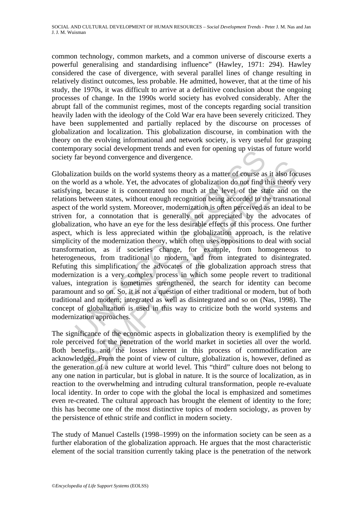common technology, common markets, and a common universe of discourse exerts a powerful generalising and standardising influence" (Hawley, 1971: 294). Hawley considered the case of divergence, with several parallel lines of change resulting in relatively distinct outcomes, less probable. He admitted, however, that at the time of his study, the 1970s, it was difficult to arrive at a definitive conclusion about the ongoing processes of change. In the 1990s world society has evolved considerably. After the abrupt fall of the communist regimes, most of the concepts regarding social transition heavily laden with the ideology of the Cold War era have been severely criticized. They have been supplemented and partially replaced by the discourse on processes of globalization and localization. This globalization discourse, in combination with the theory on the evolving informational and network society, is very useful for grasping contemporary social development trends and even for opening up vistas of future world society far beyond convergence and divergence.

botary social development uents and even tot opening up visitals<br>far beyond convergence and divergence.<br>zation builds on the world systems theory as a matter of course as<br>world as a whole. Yet, the advocates of globalizati Expansive and avoid systems theory as a matter of course as it also foot buld as a whole. Yet, the advocates of globalization do not find this theory because it is concentrated too much at the level of the state and on etw Globalization builds on the world systems theory as a matter of course as it also focuses on the world as a whole. Yet, the advocates of globalization do not find this theory very satisfying, because it is concentrated too much at the level of the state and on the relations between states, without enough recognition being accorded to the transnational aspect of the world system. Moreover, modernization is often perceived as an ideal to be striven for, a connotation that is generally not appreciated by the advocates of globalization, who have an eye for the less desirable effects of this process. One further aspect, which is less appreciated within the globalization approach, is the relative simplicity of the modernization theory, which often uses oppositions to deal with social transformation, as if societies change, for example, from homogeneous to heterogeneous, from traditional to modern, and from integrated to disintegrated. Refuting this simplification, the advocates of the globalization approach stress that modernization is a very complex process in which some people revert to traditional values, integration is sometimes strengthened, the search for identity can become paramount and so on. So, it is not a question of either traditional or modern, but of both traditional and modern; integrated as well as disintegrated and so on (Nas, 1998). The concept of globalization is used in this way to criticize both the world systems and modernization approaches.

The significance of the economic aspects in globalization theory is exemplified by the role perceived for the penetration of the world market in societies all over the world. Both benefits and the losses inherent in this process of commodification are acknowledged. From the point of view of culture, globalization is, however, defined as the generation of a new culture at world level. This "third" culture does not belong to any one nation in particular, but is global in nature. It is the source of localization, as in reaction to the overwhelming and intruding cultural transformation, people re-evaluate local identity. In order to cope with the global the local is emphasized and sometimes even re-created. The cultural approach has brought the element of identity to the fore; this has become one of the most distinctive topics of modern sociology, as proven by the persistence of ethnic strife and conflict in modern society.

The study of Manuel Castells (1998–1999) on the information society can be seen as a further elaboration of the globalization approach. He argues that the most characteristic element of the social transition currently taking place is the penetration of the network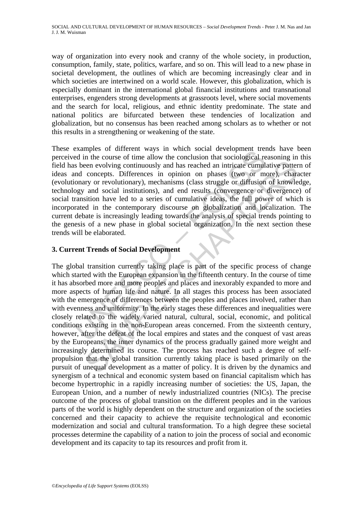way of organization into every nook and cranny of the whole society, in production, consumption, family, state, politics, warfare, and so on. This will lead to a new phase in societal development, the outlines of which are becoming increasingly clear and in which societies are intertwined on a world scale. However, this globalization, which is especially dominant in the international global financial institutions and transnational enterprises, engenders strong developments at grassroots level, where social movements and the search for local, religious, and ethnic identity predominate. The state and national politics are bifurcated between these tendencies of localization and globalization, but no consensus has been reached among scholars as to whether or not this results in a strengthening or weakening of the state.

Examples of univertir ways in winch social development treat<br>ed in the course of time allow the conclusion that sociological rest sheen evolving continuously and has reached an intricate cumula<br>nd concepts. Differences in These examples of different ways in which social development trends have been perceived in the course of time allow the conclusion that sociological reasoning in this field has been evolving continuously and has reached an intricate cumulative pattern of ideas and concepts. Differences in opinion on phases (two or more), character (evolutionary or revolutionary), mechanisms (class struggle or diffusion of knowledge, technology and social institutions), and end results (convergence or divergence) of social transition have led to a series of cumulative ideas, the full power of which is incorporated in the contemporary discourse on globalization and localization. The current debate is increasingly leading towards the analysis of special trends pointing to the genesis of a new phase in global societal organization. In the next section these trends will be elaborated.

# **3. Current Trends of Social Development**

een evolving continuously and has reached an intricate cumulative patter concepts. Differences in opinion on phases (two or more), characted concepts. Differences in opinion on phases struggle or differences and social ant The global transition currently taking place is part of the specific process of change which started with the European expansion in the fifteenth century. In the course of time it has absorbed more and more peoples and places and inexorably expanded to more and more aspects of human life and nature. In all stages this process has been associated with the emergence of differences between the peoples and places involved, rather than with evenness and uniformity. In the early stages these differences and inequalities were closely related to the widely varied natural, cultural, social, economic, and political conditions existing in the non-European areas concerned. From the sixteenth century, however, after the defeat of the local empires and states and the conquest of vast areas by the Europeans, the inner dynamics of the process gradually gained more weight and increasingly determined its course. The process has reached such a degree of selfpropulsion that the global transition currently taking place is based primarily on the pursuit of unequal development as a matter of policy. It is driven by the dynamics and synergism of a technical and economic system based on financial capitalism which has become hypertrophic in a rapidly increasing number of societies: the US, Japan, the European Union, and a number of newly industrialized countries (NICs). The precise outcome of the process of global transition on the different peoples and in the various parts of the world is highly dependent on the structure and organization of the societies concerned and their capacity to achieve the requisite technological and economic modernization and social and cultural transformation. To a high degree these societal processes determine the capability of a nation to join the process of social and economic development and its capacity to tap its resources and profit from it.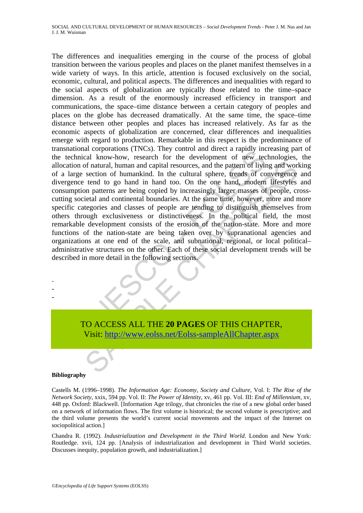notation (investigation) and untered a raping method and the molecular chondator (investigation) in the development of new technomical know-how, research for the development of new technomic of neural sphere, tends of conc of natural, human and capital resources, and the pattern of living and word section of humankind. In the cultural sphere, trends of convergence tend to go hand in hand too. On the one hand, modern lifestyles on patterns ar The differences and inequalities emerging in the course of the process of global transition between the various peoples and places on the planet manifest themselves in a wide variety of ways. In this article, attention is focused exclusively on the social, economic, cultural, and political aspects. The differences and inequalities with regard to the social aspects of globalization are typically those related to the time–space dimension. As a result of the enormously increased efficiency in transport and communications, the space–time distance between a certain category of peoples and places on the globe has decreased dramatically. At the same time, the space–time distance between other peoples and places has increased relatively. As far as the economic aspects of globalization are concerned, clear differences and inequalities emerge with regard to production. Remarkable in this respect is the predominance of transnational corporations (TNCs). They control and direct a rapidly increasing part of the technical know-how, research for the development of new technologies, the allocation of natural, human and capital resources, and the pattern of living and working of a large section of humankind. In the cultural sphere, trends of convergence and divergence tend to go hand in hand too. On the one hand, modern lifestyles and consumption patterns are being copied by increasingly larger masses of people, crosscutting societal and continental boundaries. At the same time, however, more and more specific categories and classes of people are tending to distinguish themselves from others through exclusiveness or distinctiveness. In the political field, the most remarkable development consists of the erosion of the nation-state. More and more functions of the nation-state are being taken over by supranational agencies and organizations at one end of the scale, and subnational, regional, or local political– administrative structures on the other. Each of these social development trends will be described in more detail in the following sections.

TO ACCESS ALL THE **20 PAGES** OF THIS CHAPTER, Visit: http://www.eolss.net/Eolss-sampleAllChapter.aspx

#### **Bibliography**

- - -

Castells M. (1996–1998). *The Information Age: Economy, Society and Culture*, Vol. I: *The Rise of the Network Society,* xxix, 594 pp. Vol. II: *The Power of Identity*, xv, 461 pp. Vol. III: *End of Millennium,* xv, 448 pp. Oxford: Blackwell. [Information Age trilogy, that chronicles the rise of a new global order based on a network of information flows. The first volume is historical; the second volume is prescriptive; and the third volume presents the world's current social movements and the impact of the Internet on sociopolitical action.]

Chandra R. (1992). *Industrialization and Development in the Third World*. London and New York: Routledge. xvii, 124 pp. [Analysis of industrialization and development in Third World societies. Discusses inequity, population growth, and industrialization.]